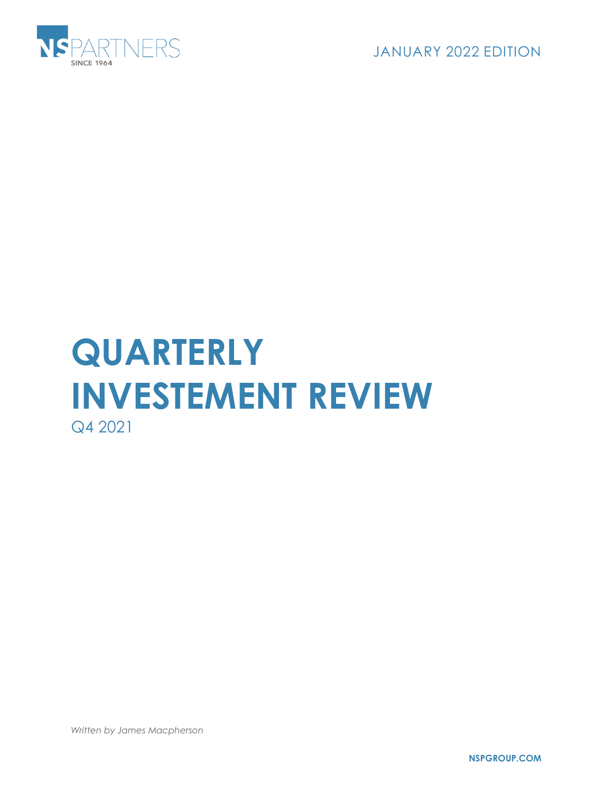

JANUARY 2022 EDITION

## **QUARTERLY INVESTEMENT REVIEW** Q4 2021

*Written by James Macpherson*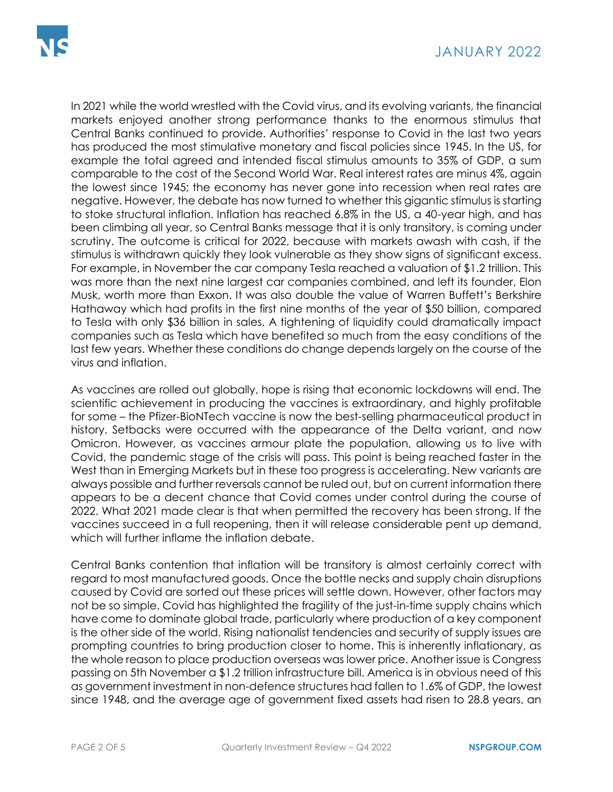In 2021 while the world wrestled with the Covid virus, and its evolving variants, the financial markets enjoyed another strong performance thanks to the enormous stimulus that Central Banks continued to provide. Authorities' response to Covid in the last two years has produced the most stimulative monetary and fiscal policies since 1945. In the US, for example the total agreed and intended fiscal stimulus amounts to 35% of GDP, a sum comparable to the cost of the Second World War. Real interest rates are minus 4%, again the lowest since 1945; the economy has never gone into recession when real rates are negative. However, the debate has now turned to whether this gigantic stimulus is starting to stoke structural inflation. Inflation has reached 6.8% in the US, a 40-year high, and has been climbing all year, so Central Banks message that it is only transitory, is coming under scrutiny. The outcome is critical for 2022, because with markets awash with cash, if the stimulus is withdrawn quickly they look vulnerable as they show signs of significant excess. For example, in November the car company Tesla reached a valuation of \$1.2 trillion. This was more than the next nine largest car companies combined, and left its founder, Elon Musk, worth more than Exxon. It was also double the value of Warren Buffett's Berkshire Hathaway which had profits in the first nine months of the year of \$50 billion, compared to Tesla with only \$36 billion in sales. A tightening of liquidity could dramatically impact companies such as Tesla which have benefited so much from the easy conditions of the last few years. Whether these conditions do change depends largely on the course of the virus and inflation.

As vaccines are rolled out globally, hope is rising that economic lockdowns will end. The scientific achievement in producing the vaccines is extraordinary, and highly profitable for some – the Pfizer-BioNTech vaccine is now the best-selling pharmaceutical product in history. Setbacks were occurred with the appearance of the Delta variant, and now Omicron. However, as vaccines armour plate the population, allowing us to live with Covid, the pandemic stage of the crisis will pass. This point is being reached faster in the West than in Emerging Markets but in these too progress is accelerating. New variants are always possible and further reversals cannot be ruled out, but on current information there appears to be a decent chance that Covid comes under control during the course of 2022. What 2021 made clear is that when permitted the recovery has been strong. If the vaccines succeed in a full reopening, then it will release considerable pent up demand, which will further inflame the inflation debate.

Central Banks contention that inflation will be transitory is almost certainly correct with regard to most manufactured goods. Once the bottle necks and supply chain disruptions caused by Covid are sorted out these prices will settle down. However, other factors may not be so simple. Covid has highlighted the fragility of the just-in-time supply chains which have come to dominate global trade, particularly where production of a key component is the other side of the world. Rising nationalist tendencies and security of supply issues are prompting countries to bring production closer to home. This is inherently inflationary, as the whole reason to place production overseas was lower price. Another issue is Congress passing on 5th November a \$1.2 trillion infrastructure bill. America is in obvious need of this as government investment in non-defence structures had fallen to 1.6% of GDP, the lowest since 1948, and the average age of government fixed assets had risen to 28.8 years, an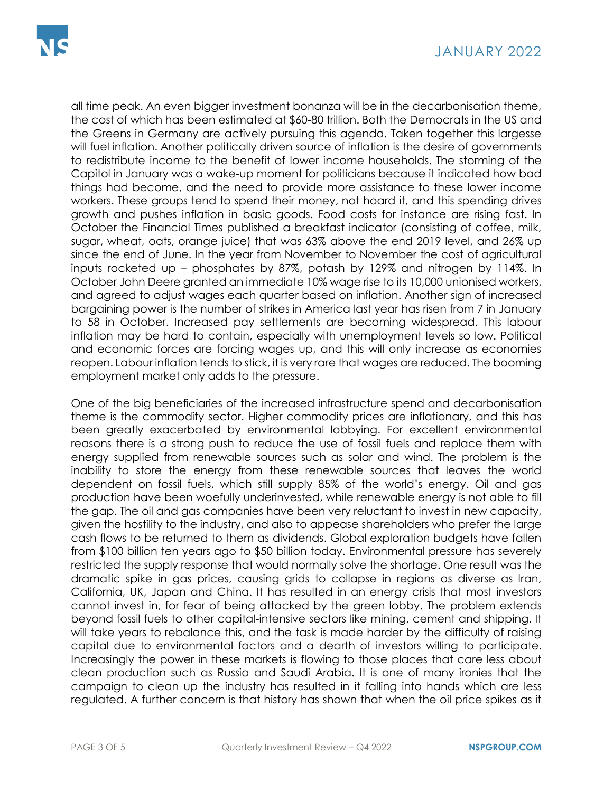all time peak. An even bigger investment bonanza will be in the decarbonisation theme, the cost of which has been estimated at \$60-80 trillion. Both the Democrats in the US and the Greens in Germany are actively pursuing this agenda. Taken together this largesse will fuel inflation. Another politically driven source of inflation is the desire of governments to redistribute income to the benefit of lower income households. The storming of the Capitol in January was a wake-up moment for politicians because it indicated how bad things had become, and the need to provide more assistance to these lower income workers. These groups tend to spend their money, not hoard it, and this spending drives growth and pushes inflation in basic goods. Food costs for instance are rising fast. In October the Financial Times published a breakfast indicator (consisting of coffee, milk, sugar, wheat, oats, orange juice) that was 63% above the end 2019 level, and 26% up since the end of June. In the year from November to November the cost of agricultural inputs rocketed up – phosphates by 87%, potash by 129% and nitrogen by 114%. In October John Deere granted an immediate 10% wage rise to its 10,000 unionised workers, and agreed to adjust wages each quarter based on inflation. Another sign of increased bargaining power is the number of strikes in America last year has risen from 7 in January to 58 in October. Increased pay settlements are becoming widespread. This labour inflation may be hard to contain, especially with unemployment levels so low. Political and economic forces are forcing wages up, and this will only increase as economies reopen. Labour inflation tends to stick, it is very rare that wages are reduced. The booming employment market only adds to the pressure.

One of the big beneficiaries of the increased infrastructure spend and decarbonisation theme is the commodity sector. Higher commodity prices are inflationary, and this has been greatly exacerbated by environmental lobbying. For excellent environmental reasons there is a strong push to reduce the use of fossil fuels and replace them with energy supplied from renewable sources such as solar and wind. The problem is the inability to store the energy from these renewable sources that leaves the world dependent on fossil fuels, which still supply 85% of the world's energy. Oil and gas production have been woefully underinvested, while renewable energy is not able to fill the gap. The oil and gas companies have been very reluctant to invest in new capacity, given the hostility to the industry, and also to appease shareholders who prefer the large cash flows to be returned to them as dividends. Global exploration budgets have fallen from \$100 billion ten years ago to \$50 billion today. Environmental pressure has severely restricted the supply response that would normally solve the shortage. One result was the dramatic spike in gas prices, causing grids to collapse in regions as diverse as Iran, California, UK, Japan and China. It has resulted in an energy crisis that most investors cannot invest in, for fear of being attacked by the green lobby. The problem extends beyond fossil fuels to other capital-intensive sectors like mining, cement and shipping. It will take years to rebalance this, and the task is made harder by the difficulty of raising capital due to environmental factors and a dearth of investors willing to participate. Increasingly the power in these markets is flowing to those places that care less about clean production such as Russia and Saudi Arabia. It is one of many ironies that the campaign to clean up the industry has resulted in it falling into hands which are less regulated. A further concern is that history has shown that when the oil price spikes as it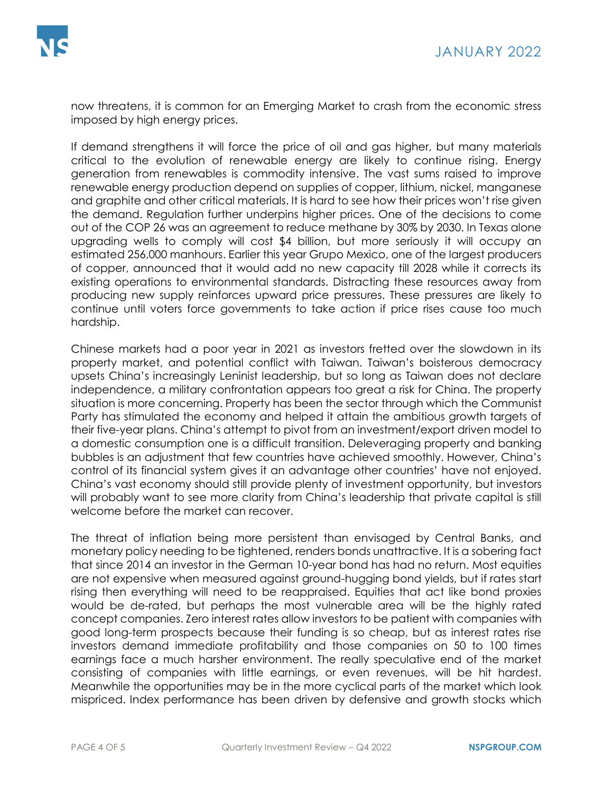now threatens, it is common for an Emerging Market to crash from the economic stress imposed by high energy prices.

If demand strengthens it will force the price of oil and gas higher, but many materials critical to the evolution of renewable energy are likely to continue rising. Energy generation from renewables is commodity intensive. The vast sums raised to improve renewable energy production depend on supplies of copper, lithium, nickel, manganese and graphite and other critical materials. It is hard to see how their prices won't rise given the demand. Regulation further underpins higher prices. One of the decisions to come out of the COP 26 was an agreement to reduce methane by 30% by 2030. In Texas alone upgrading wells to comply will cost \$4 billion, but more seriously it will occupy an estimated 256,000 manhours. Earlier this year Grupo Mexico, one of the largest producers of copper, announced that it would add no new capacity till 2028 while it corrects its existing operations to environmental standards. Distracting these resources away from producing new supply reinforces upward price pressures. These pressures are likely to continue until voters force governments to take action if price rises cause too much hardship.

Chinese markets had a poor year in 2021 as investors fretted over the slowdown in its property market, and potential conflict with Taiwan. Taiwan's boisterous democracy upsets China's increasingly Leninist leadership, but so long as Taiwan does not declare independence, a military confrontation appears too great a risk for China. The property situation is more concerning. Property has been the sector through which the Communist Party has stimulated the economy and helped it attain the ambitious growth targets of their five-year plans. China's attempt to pivot from an investment/export driven model to a domestic consumption one is a difficult transition. Deleveraging property and banking bubbles is an adjustment that few countries have achieved smoothly. However, China's control of its financial system gives it an advantage other countries' have not enjoyed. China's vast economy should still provide plenty of investment opportunity, but investors will probably want to see more clarity from China's leadership that private capital is still welcome before the market can recover.

The threat of inflation being more persistent than envisaged by Central Banks, and monetary policy needing to be tightened, renders bonds unattractive. It is a sobering fact that since 2014 an investor in the German 10-year bond has had no return. Most equities are not expensive when measured against ground-hugging bond yields, but if rates start rising then everything will need to be reappraised. Equities that act like bond proxies would be de-rated, but perhaps the most vulnerable area will be the highly rated concept companies. Zero interest rates allow investors to be patient with companies with good long-term prospects because their funding is so cheap, but as interest rates rise investors demand immediate profitability and those companies on 50 to 100 times earnings face a much harsher environment. The really speculative end of the market consisting of companies with little earnings, or even revenues, will be hit hardest. Meanwhile the opportunities may be in the more cyclical parts of the market which look mispriced. Index performance has been driven by defensive and growth stocks which